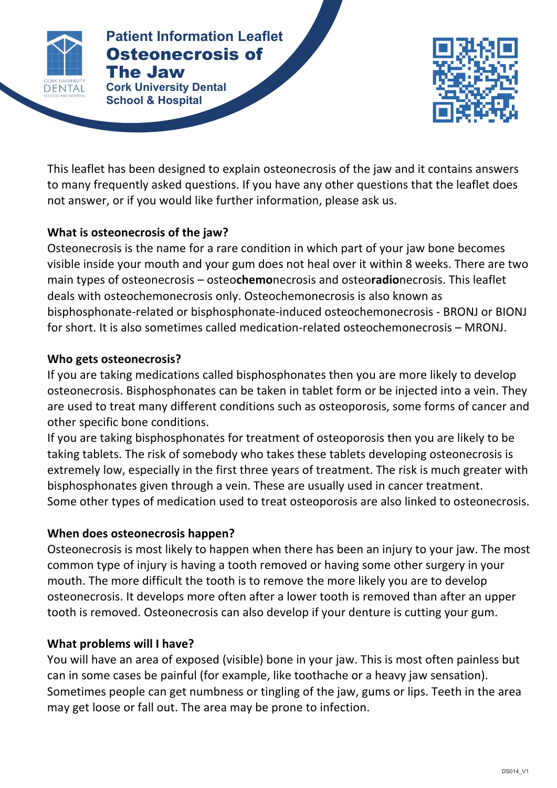

#### **Patients Patient Information Leaflet** Osteonecrosis of The Jaw

**Cork University Dental School & Hospital**



This leaflet has been designed to explain osteonecrosis of the jaw and it contains answers to many frequently asked questions. If you have any other questions that the leaflet does not answer, or if you would like further information, please ask us.

# **What is osteonecrosis of the jaw?**

Osteonecrosis is the name for a rare condition in which part of your jaw bone becomes visible inside your mouth and your gum does not heal over it within 8 weeks. There are two main types of osteonecrosis – osteochemonecrosis and osteoradionecrosis. This leaflet deals with osteochemonecrosis only. Osteochemonecrosis is also known as bisphosphonate-related or bisphosphonate-induced osteochemonecrosis - BRONJ or BIONJ for short. It is also sometimes called medication-related osteochemonecrosis – MRONJ.

### **Who gets osteonecrosis?**

If you are taking medications called bisphosphonates then you are more likely to develop osteonecrosis. Bisphosphonates can be taken in tablet form or be injected into a vein. They are used to treat many different conditions such as osteoporosis, some forms of cancer and other specific bone conditions.

If you are taking bisphosphonates for treatment of osteoporosis then you are likely to be taking tablets. The risk of somebody who takes these tablets developing osteonecrosis is extremely low, especially in the first three years of treatment. The risk is much greater with bisphosphonates given through a vein. These are usually used in cancer treatment. Some other types of medication used to treat osteoporosis are also linked to osteonecrosis.

# **When does osteonecrosis happen?**

Osteonecrosis is most likely to happen when there has been an injury to your jaw. The most common type of injury is having a tooth removed or having some other surgery in your mouth. The more difficult the tooth is to remove the more likely you are to develop osteonecrosis. It develops more often after a lower tooth is removed than after an upper tooth is removed. Osteonecrosis can also develop if your denture is cutting your gum.

# **What problems will I have?**

You will have an area of exposed (visible) bone in your jaw. This is most often painless but can in some cases be painful (for example, like toothache or a heavy jaw sensation). Sometimes people can get numbness or tingling of the jaw, gums or lips. Teeth in the area may get loose or fall out. The area may be prone to infection.